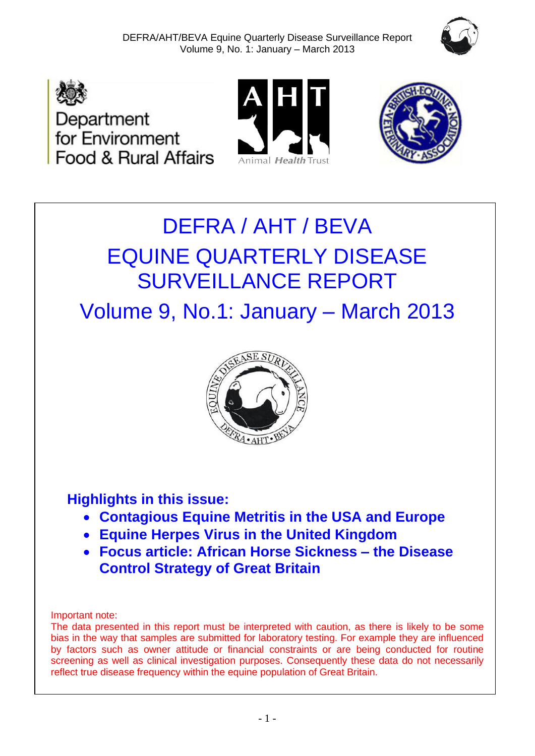







# DEFRA / AHT / BEVA EQUINE QUARTERLY DISEASE SURVEILLANCE REPORT

Volume 9, No.1: January – March 2013



# **Highlights in this issue:**

- **Contagious Equine Metritis in the USA and Europe**
- **Equine Herpes Virus in the United Kingdom**
- **Focus article: African Horse Sickness – the Disease Control Strategy of Great Britain**

Important note:

The data presented in this report must be interpreted with caution, as there is likely to be some bias in the way that samples are submitted for laboratory testing. For example they are influenced by factors such as owner attitude or financial constraints or are being conducted for routine screening as well as clinical investigation purposes. Consequently these data do not necessarily reflect true disease frequency within the equine population of Great Britain.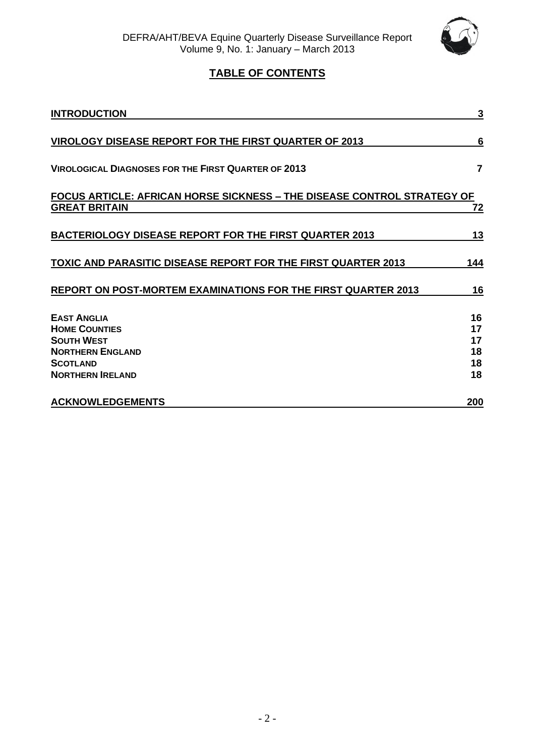

# **TABLE OF CONTENTS**

| <b>INTRODUCTION</b>                                                                                                                      | 3                                |
|------------------------------------------------------------------------------------------------------------------------------------------|----------------------------------|
| <b>VIROLOGY DISEASE REPORT FOR THE FIRST QUARTER OF 2013</b>                                                                             | 6                                |
| <b>VIROLOGICAL DIAGNOSES FOR THE FIRST QUARTER OF 2013</b>                                                                               | 7                                |
| FOCUS ARTICLE: AFRICAN HORSE SICKNESS - THE DISEASE CONTROL STRATEGY OF<br><b>GREAT BRITAIN</b>                                          | 72                               |
| <b>BACTERIOLOGY DISEASE REPORT FOR THE FIRST QUARTER 2013</b>                                                                            | 13                               |
| <b>TOXIC AND PARASITIC DISEASE REPORT FOR THE FIRST QUARTER 2013</b>                                                                     | 144                              |
| REPORT ON POST-MORTEM EXAMINATIONS FOR THE FIRST QUARTER 2013                                                                            | 16                               |
| <b>EAST ANGLIA</b><br><b>HOME COUNTIES</b><br><b>SOUTH WEST</b><br><b>NORTHERN ENGLAND</b><br><b>SCOTLAND</b><br><b>NORTHERN IRELAND</b> | 16<br>17<br>17<br>18<br>18<br>18 |
| <b>ACKNOWLEDGEMENTS</b>                                                                                                                  | 200                              |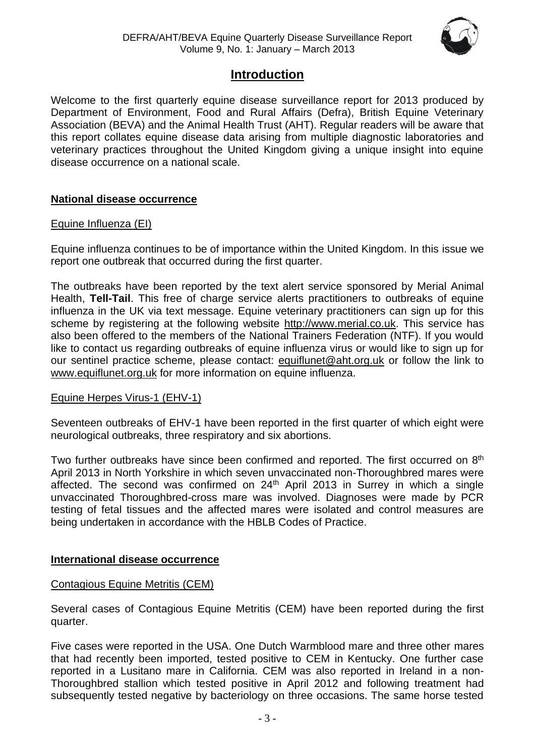

# **Introduction**

Welcome to the first quarterly equine disease surveillance report for 2013 produced by Department of Environment, Food and Rural Affairs (Defra), British Equine Veterinary Association (BEVA) and the Animal Health Trust (AHT). Regular readers will be aware that this report collates equine disease data arising from multiple diagnostic laboratories and veterinary practices throughout the United Kingdom giving a unique insight into equine disease occurrence on a national scale.

## **National disease occurrence**

#### Equine Influenza (EI)

Equine influenza continues to be of importance within the United Kingdom. In this issue we report one outbreak that occurred during the first quarter.

The outbreaks have been reported by the text alert service sponsored by Merial Animal Health, **Tell-Tail**. This free of charge service alerts practitioners to outbreaks of equine influenza in the UK via text message. Equine veterinary practitioners can sign up for this scheme by registering at the following website [http://www.merial.co.uk.](http://www.merial.co.uk/) This service has also been offered to the members of the National Trainers Federation (NTF). If you would like to contact us regarding outbreaks of equine influenza virus or would like to sign up for our sentinel practice scheme, please contact: [equiflunet@aht.org.uk](mailto:equiflunet@aht.org.uk) or follow the link to [www.equiflunet.org.uk](http://www.equiflunet.org.uk/) for more information on equine influenza.

#### Equine Herpes Virus-1 (EHV-1)

Seventeen outbreaks of EHV-1 have been reported in the first quarter of which eight were neurological outbreaks, three respiratory and six abortions.

Two further outbreaks have since been confirmed and reported. The first occurred on 8<sup>th</sup> April 2013 in North Yorkshire in which seven unvaccinated non-Thoroughbred mares were affected. The second was confirmed on 24<sup>th</sup> April 2013 in Surrey in which a single unvaccinated Thoroughbred-cross mare was involved. Diagnoses were made by PCR testing of fetal tissues and the affected mares were isolated and control measures are being undertaken in accordance with the HBLB Codes of Practice.

#### **International disease occurrence**

#### Contagious Equine Metritis (CEM)

Several cases of Contagious Equine Metritis (CEM) have been reported during the first quarter.

Five cases were reported in the USA. One Dutch Warmblood mare and three other mares that had recently been imported, tested positive to CEM in Kentucky. One further case reported in a Lusitano mare in California. CEM was also reported in Ireland in a non-Thoroughbred stallion which tested positive in April 2012 and following treatment had subsequently tested negative by bacteriology on three occasions. The same horse tested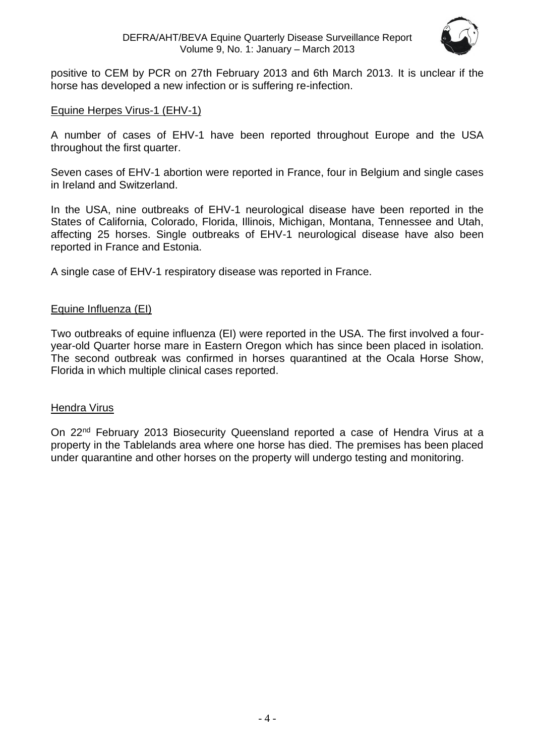

positive to CEM by PCR on 27th February 2013 and 6th March 2013. It is unclear if the horse has developed a new infection or is suffering re-infection.

#### Equine Herpes Virus-1 (EHV-1)

A number of cases of EHV-1 have been reported throughout Europe and the USA throughout the first quarter.

Seven cases of EHV-1 abortion were reported in France, four in Belgium and single cases in Ireland and Switzerland.

In the USA, nine outbreaks of EHV-1 neurological disease have been reported in the States of California, Colorado, Florida, Illinois, Michigan, Montana, Tennessee and Utah, affecting 25 horses. Single outbreaks of EHV-1 neurological disease have also been reported in France and Estonia.

A single case of EHV-1 respiratory disease was reported in France.

#### Equine Influenza (EI)

Two outbreaks of equine influenza (EI) were reported in the USA. The first involved a fouryear-old Quarter horse mare in Eastern Oregon which has since been placed in isolation. The second outbreak was confirmed in horses quarantined at the Ocala Horse Show, Florida in which multiple clinical cases reported.

#### Hendra Virus

On 22<sup>nd</sup> February 2013 Biosecurity Queensland reported a case of Hendra Virus at a property in the Tablelands area where one horse has died. The premises has been placed under quarantine and other horses on the property will undergo testing and monitoring.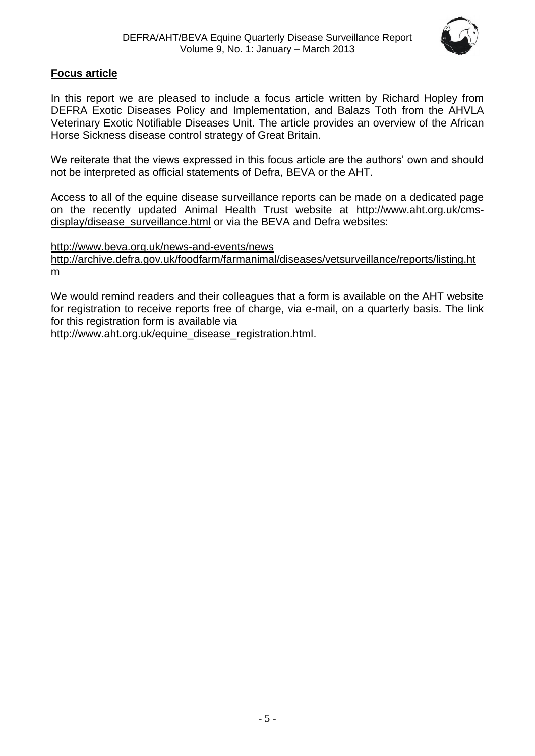

## **Focus article**

In this report we are pleased to include a focus article written by Richard Hopley from DEFRA Exotic Diseases Policy and Implementation, and Balazs Toth from the AHVLA Veterinary Exotic Notifiable Diseases Unit. The article provides an overview of the African Horse Sickness disease control strategy of Great Britain.

We reiterate that the views expressed in this focus article are the authors' own and should not be interpreted as official statements of Defra, BEVA or the AHT.

Access to all of the equine disease surveillance reports can be made on a dedicated page on the recently updated Animal Health Trust website at [http://www.aht.org.uk/cms](http://www.aht.org.uk/cms-display/disease_surveillance.html)[display/disease\\_surveillance.html](http://www.aht.org.uk/cms-display/disease_surveillance.html) or via the BEVA and Defra websites:

<http://www.beva.org.uk/news-and-events/news>

[http://archive.defra.gov.uk/foodfarm/farmanimal/diseases/vetsurveillance/reports/listing.ht](http://archive.defra.gov.uk/foodfarm/farmanimal/diseases/vetsurveillance/reports/listing.htm) [m](http://archive.defra.gov.uk/foodfarm/farmanimal/diseases/vetsurveillance/reports/listing.htm)

We would remind readers and their colleagues that a form is available on the AHT website for registration to receive reports free of charge, via e-mail, on a quarterly basis. The link for this registration form is available via

[http://www.aht.org.uk/equine\\_disease\\_registration.html.](http://www.aht.org.uk/equine_disease_registration.html)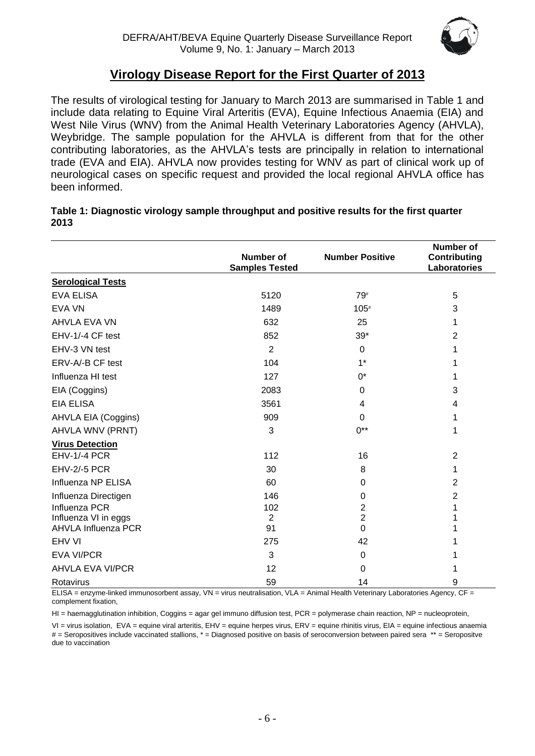

# **Virology Disease Report for the First Quarter of 2013**

The results of virological testing for January to March 2013 are summarised in Table 1 and include data relating to Equine Viral Arteritis (EVA), Equine Infectious Anaemia (EIA) and West Nile Virus (WNV) from the Animal Health Veterinary Laboratories Agency (AHVLA), Weybridge. The sample population for the AHVLA is different from that for the other contributing laboratories, as the AHVLA's tests are principally in relation to international trade (EVA and EIA). AHVLA now provides testing for WNV as part of clinical work up of neurological cases on specific request and provided the local regional AHVLA office has been informed.

| Table 1: Diagnostic virology sample throughput and positive results for the first quarter |  |
|-------------------------------------------------------------------------------------------|--|
| 2013                                                                                      |  |

|                            |                                           |                        | Number of                           |
|----------------------------|-------------------------------------------|------------------------|-------------------------------------|
|                            | <b>Number of</b><br><b>Samples Tested</b> | <b>Number Positive</b> | <b>Contributing</b><br>Laboratories |
| <b>Serological Tests</b>   |                                           |                        |                                     |
| <b>EVA ELISA</b>           | 5120                                      | 79#                    | 5                                   |
| <b>EVA VN</b>              | 1489                                      | $105*$                 | 3                                   |
| <b>AHVLA EVA VN</b>        | 632                                       | 25                     | 1                                   |
| EHV-1/-4 CF test           | 852                                       | $39*$                  | $\overline{2}$                      |
| EHV-3 VN test              | $\overline{2}$                            | $\Omega$               | 1                                   |
| ERV-A/-B CF test           | 104                                       | $1*$                   | 1                                   |
| Influenza HI test          | 127                                       | 0*                     | 1                                   |
| EIA (Coggins)              | 2083                                      | 0                      | 3                                   |
| <b>EIA ELISA</b>           | 3561                                      | 4                      | 4                                   |
| <b>AHVLA EIA (Coggins)</b> | 909                                       | $\Omega$               | 1                                   |
| AHVLA WNV (PRNT)           | 3                                         | $0^{**}$               | 1                                   |
| <b>Virus Detection</b>     |                                           |                        |                                     |
| EHV-1/-4 PCR               | 112                                       | 16                     | $\overline{2}$                      |
| EHV-2/-5 PCR               | 30                                        | 8                      | 1                                   |
| Influenza NP ELISA         | 60                                        | 0                      | $\overline{2}$                      |
| Influenza Directigen       | 146                                       | 0                      | $\overline{2}$                      |
| Influenza PCR              | 102                                       | $\overline{2}$         | 1                                   |
| Influenza VI in eggs       | $\overline{2}$                            | $\overline{2}$         | 1                                   |
| <b>AHVLA Influenza PCR</b> | 91                                        | 0                      | 1                                   |
| EHV VI                     | 275                                       | 42                     | 1                                   |
| <b>EVA VI/PCR</b>          | 3                                         | $\boldsymbol{0}$       | 1                                   |
| <b>AHVLA EVA VI/PCR</b>    | 12                                        | 0                      | 1                                   |
| Rotavirus                  | 59                                        | 14                     | 9                                   |

ELISA = enzyme-linked immunosorbent assay, VN = virus neutralisation, VLA = Animal Health Veterinary Laboratories Agency, CF = complement fixation,

HI = haemagglutination inhibition, Coggins = agar gel immuno diffusion test, PCR = polymerase chain reaction, NP = nucleoprotein,

VI = virus isolation, EVA = equine viral arteritis, EHV = equine herpes virus, ERV = equine rhinitis virus, EIA = equine infectious anaemia # = Seropositives include vaccinated stallions, \* = Diagnosed positive on basis of seroconversion between paired sera \*\* = Seropositve due to vaccination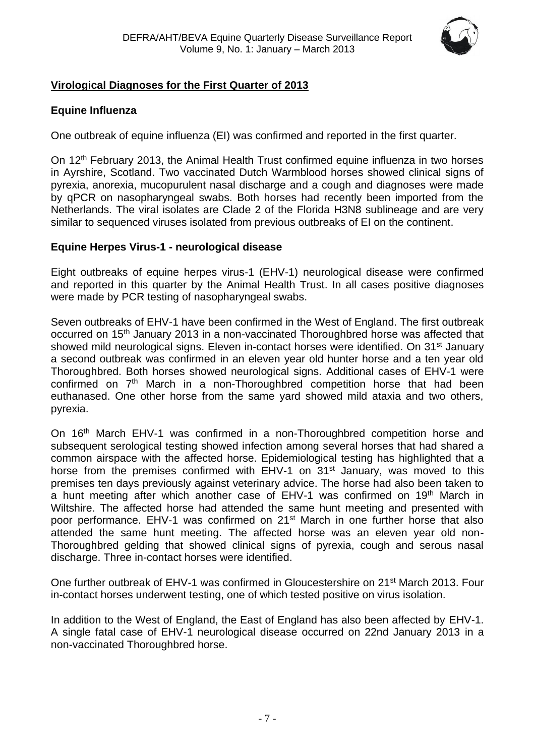

# <span id="page-6-0"></span>**Virological Diagnoses for the First Quarter of 2013**

## **Equine Influenza**

One outbreak of equine influenza (EI) was confirmed and reported in the first quarter.

On 12<sup>th</sup> February 2013, the Animal Health Trust confirmed equine influenza in two horses in Ayrshire, Scotland. Two vaccinated Dutch Warmblood horses showed clinical signs of pyrexia, anorexia, mucopurulent nasal discharge and a cough and diagnoses were made by qPCR on nasopharyngeal swabs. Both horses had recently been imported from the Netherlands. The viral isolates are Clade 2 of the Florida H3N8 sublineage and are very similar to sequenced viruses isolated from previous outbreaks of EI on the continent.

#### **Equine Herpes Virus-1 - neurological disease**

Eight outbreaks of equine herpes virus-1 (EHV-1) neurological disease were confirmed and reported in this quarter by the Animal Health Trust. In all cases positive diagnoses were made by PCR testing of nasopharyngeal swabs.

Seven outbreaks of EHV-1 have been confirmed in the West of England. The first outbreak occurred on 15th January 2013 in a non-vaccinated Thoroughbred horse was affected that showed mild neurological signs. Eleven in-contact horses were identified. On 31<sup>st</sup> January a second outbreak was confirmed in an eleven year old hunter horse and a ten year old Thoroughbred. Both horses showed neurological signs. Additional cases of EHV-1 were confirmed on  $7<sup>th</sup>$  March in a non-Thoroughbred competition horse that had been euthanased. One other horse from the same yard showed mild ataxia and two others, pyrexia.

On 16<sup>th</sup> March EHV-1 was confirmed in a non-Thoroughbred competition horse and subsequent serological testing showed infection among several horses that had shared a common airspace with the affected horse. Epidemiological testing has highlighted that a horse from the premises confirmed with EHV-1 on  $31<sup>st</sup>$  January, was moved to this premises ten days previously against veterinary advice. The horse had also been taken to a hunt meeting after which another case of EHV-1 was confirmed on 19<sup>th</sup> March in Wiltshire. The affected horse had attended the same hunt meeting and presented with poor performance. EHV-1 was confirmed on 21<sup>st</sup> March in one further horse that also attended the same hunt meeting. The affected horse was an eleven year old non-Thoroughbred gelding that showed clinical signs of pyrexia, cough and serous nasal discharge. Three in-contact horses were identified.

One further outbreak of EHV-1 was confirmed in Gloucestershire on 21<sup>st</sup> March 2013. Four in-contact horses underwent testing, one of which tested positive on virus isolation.

<span id="page-6-1"></span>In addition to the West of England, the East of England has also been affected by EHV-1. A single fatal case of EHV-1 neurological disease occurred on 22nd January 2013 in a non-vaccinated Thoroughbred horse.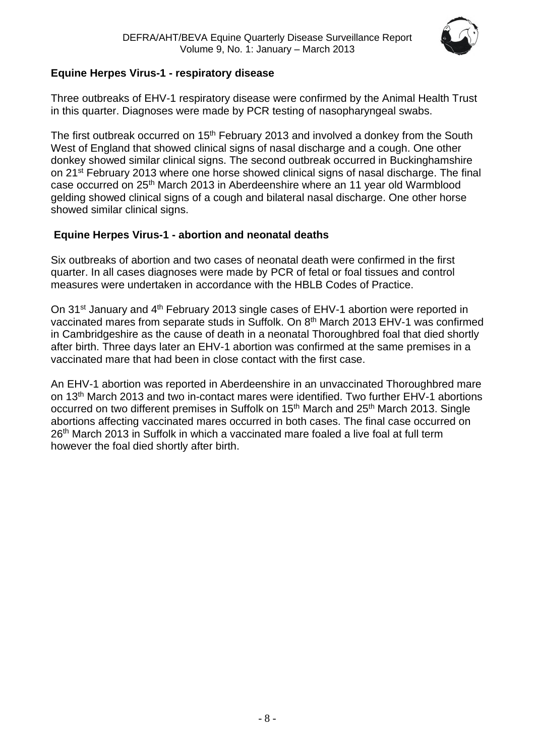

# **Equine Herpes Virus-1 - respiratory disease**

Three outbreaks of EHV-1 respiratory disease were confirmed by the Animal Health Trust in this quarter. Diagnoses were made by PCR testing of nasopharyngeal swabs.

The first outbreak occurred on 15<sup>th</sup> February 2013 and involved a donkey from the South West of England that showed clinical signs of nasal discharge and a cough. One other donkey showed similar clinical signs. The second outbreak occurred in Buckinghamshire on 21st February 2013 where one horse showed clinical signs of nasal discharge. The final case occurred on 25th March 2013 in Aberdeenshire where an 11 year old Warmblood gelding showed clinical signs of a cough and bilateral nasal discharge. One other horse showed similar clinical signs.

# **Equine Herpes Virus-1 - abortion and neonatal deaths**

Six outbreaks of abortion and two cases of neonatal death were confirmed in the first quarter. In all cases diagnoses were made by PCR of fetal or foal tissues and control measures were undertaken in accordance with the HBLB Codes of Practice.

On 31<sup>st</sup> January and 4<sup>th</sup> February 2013 single cases of EHV-1 abortion were reported in vaccinated mares from separate studs in Suffolk. On 8<sup>th</sup> March 2013 EHV-1 was confirmed in Cambridgeshire as the cause of death in a neonatal Thoroughbred foal that died shortly after birth. Three days later an EHV-1 abortion was confirmed at the same premises in a vaccinated mare that had been in close contact with the first case.

An EHV-1 abortion was reported in Aberdeenshire in an unvaccinated Thoroughbred mare on 13th March 2013 and two in-contact mares were identified. Two further EHV-1 abortions occurred on two different premises in Suffolk on 15<sup>th</sup> March and 25<sup>th</sup> March 2013. Single abortions affecting vaccinated mares occurred in both cases. The final case occurred on  $26<sup>th</sup>$  March 2013 in Suffolk in which a vaccinated mare foaled a live foal at full term however the foal died shortly after birth.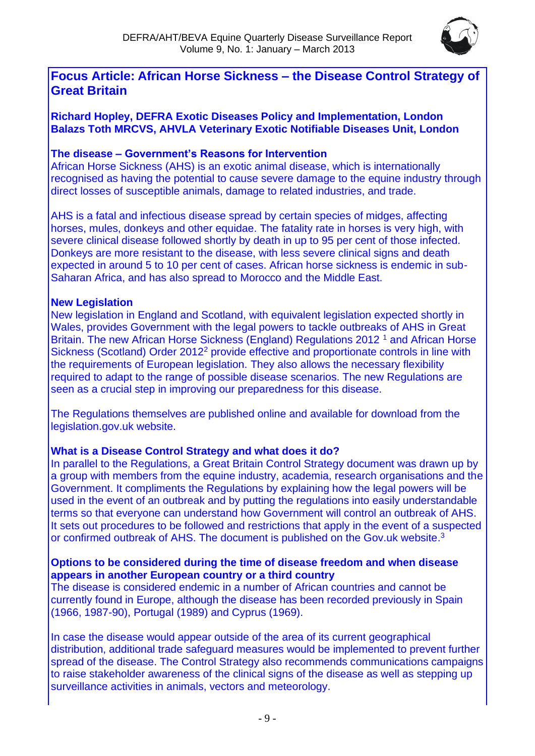

# **Focus Article: African Horse Sickness – the Disease Control Strategy of Great Britain**

**Richard Hopley, DEFRA Exotic Diseases Policy and Implementation, London Balazs Toth MRCVS, AHVLA Veterinary Exotic Notifiable Diseases Unit, London**

## **The disease – Government's Reasons for Intervention**

African Horse Sickness (AHS) is an exotic animal disease, which is internationally recognised as having the potential to cause severe damage to the equine industry through direct losses of susceptible animals, damage to related industries, and trade.

AHS is a fatal and infectious disease spread by certain species of midges, affecting horses, mules, donkeys and other equidae. The fatality rate in horses is very high, with severe clinical disease followed shortly by death in up to 95 per cent of those infected. Donkeys are more resistant to the disease, with less severe clinical signs and death expected in around 5 to 10 per cent of cases. African horse sickness is endemic in sub-Saharan Africa, and has also spread to Morocco and the Middle East.

## **New Legislation**

New legislation in England and Scotland, with equivalent legislation expected shortly in Wales, provides Government with the legal powers to tackle outbreaks of AHS in Great Britain. The new African Horse Sickness (England) Regulations 2012<sup>1</sup> and African Horse Sickness (Scotland) Order 2012<sup>2</sup> provide effective and proportionate controls in line with the requirements of European legislation. They also allows the necessary flexibility required to adapt to the range of possible disease scenarios. The new Regulations are seen as a crucial step in improving our preparedness for this disease.

The Regulations themselves are published online and available for download from the legislation.gov.uk website.

## **What is a Disease Control Strategy and what does it do?**

In parallel to the Regulations, a Great Britain Control Strategy document was drawn up by a group with members from the equine industry, academia, research organisations and the Government. It compliments the Regulations by explaining how the legal powers will be used in the event of an outbreak and by putting the regulations into easily understandable terms so that everyone can understand how Government will control an outbreak of AHS. It sets out procedures to be followed and restrictions that apply in the event of a suspected or confirmed outbreak of AHS. The document is published on the Gov.uk website.<sup>3</sup>

#### **Options to be considered during the time of disease freedom and when disease appears in another European country or a third country**

The disease is considered endemic in a number of African countries and cannot be currently found in Europe, although the disease has been recorded previously in Spain (1966, 1987-90), Portugal (1989) and Cyprus (1969).

In case the disease would appear outside of the area of its current geographical distribution, additional trade safeguard measures would be implemented to prevent further spread of the disease. The Control Strategy also recommends communications campaigns to raise stakeholder awareness of the clinical signs of the disease as well as stepping up surveillance activities in animals, vectors and meteorology.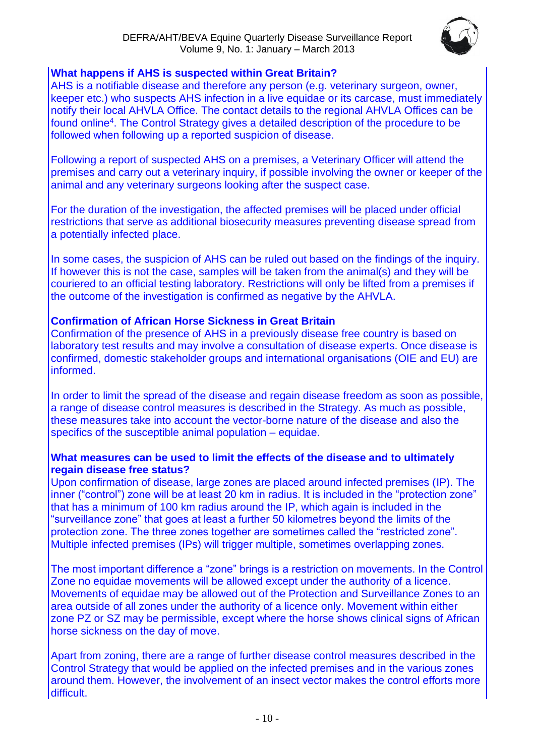

## **What happens if AHS is suspected within Great Britain?**

AHS is a notifiable disease and therefore any person (e.g. veterinary surgeon, owner, keeper etc.) who suspects AHS infection in a live equidae or its carcase, must immediately notify their local AHVLA Office. The contact details to the regional AHVLA Offices can be found online<sup>4</sup>. The Control Strategy gives a detailed description of the procedure to be followed when following up a reported suspicion of disease.

Following a report of suspected AHS on a premises, a Veterinary Officer will attend the premises and carry out a veterinary inquiry, if possible involving the owner or keeper of the animal and any veterinary surgeons looking after the suspect case.

For the duration of the investigation, the affected premises will be placed under official restrictions that serve as additional biosecurity measures preventing disease spread from a potentially infected place.

In some cases, the suspicion of AHS can be ruled out based on the findings of the inquiry. If however this is not the case, samples will be taken from the animal(s) and they will be couriered to an official testing laboratory. Restrictions will only be lifted from a premises if the outcome of the investigation is confirmed as negative by the AHVLA.

## **Confirmation of African Horse Sickness in Great Britain**

Confirmation of the presence of AHS in a previously disease free country is based on laboratory test results and may involve a consultation of disease experts. Once disease is confirmed, domestic stakeholder groups and international organisations (OIE and EU) are informed.

In order to limit the spread of the disease and regain disease freedom as soon as possible, a range of disease control measures is described in the Strategy. As much as possible, these measures take into account the vector-borne nature of the disease and also the specifics of the susceptible animal population – equidae.

## **What measures can be used to limit the effects of the disease and to ultimately regain disease free status?**

Upon confirmation of disease, large zones are placed around infected premises (IP). The inner ("control") zone will be at least 20 km in radius. It is included in the "protection zone" that has a minimum of 100 km radius around the IP, which again is included in the "surveillance zone" that goes at least a further 50 kilometres beyond the limits of the protection zone. The three zones together are sometimes called the "restricted zone". Multiple infected premises (IPs) will trigger multiple, sometimes overlapping zones.

The most important difference a "zone" brings is a restriction on movements. In the Control Zone no equidae movements will be allowed except under the authority of a licence. Movements of equidae may be allowed out of the Protection and Surveillance Zones to an area outside of all zones under the authority of a licence only. Movement within either zone PZ or SZ may be permissible, except where the horse shows clinical signs of African horse sickness on the day of move.

Apart from zoning, there are a range of further disease control measures described in the Control Strategy that would be applied on the infected premises and in the various zones around them. However, the involvement of an insect vector makes the control efforts more difficult.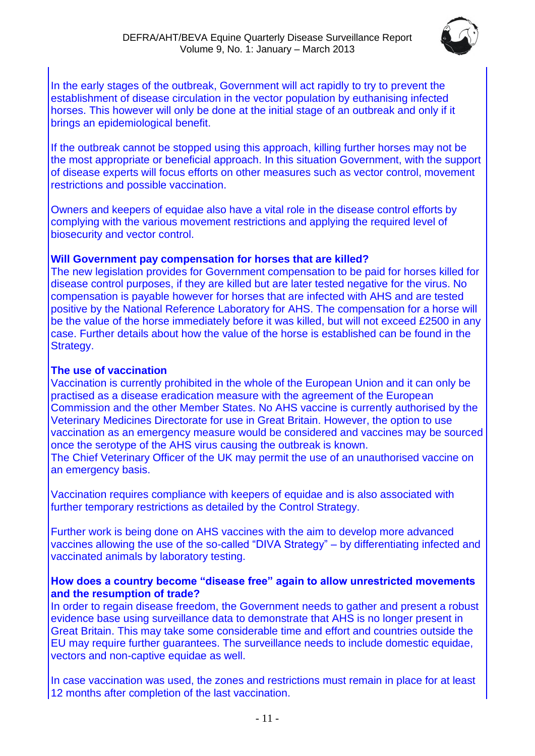

In the early stages of the outbreak, Government will act rapidly to try to prevent the establishment of disease circulation in the vector population by euthanising infected horses. This however will only be done at the initial stage of an outbreak and only if it brings an epidemiological benefit.

If the outbreak cannot be stopped using this approach, killing further horses may not be the most appropriate or beneficial approach. In this situation Government, with the support of disease experts will focus efforts on other measures such as vector control, movement restrictions and possible vaccination.

Owners and keepers of equidae also have a vital role in the disease control efforts by complying with the various movement restrictions and applying the required level of biosecurity and vector control.

#### **Will Government pay compensation for horses that are killed?**

The new legislation provides for Government compensation to be paid for horses killed for disease control purposes, if they are killed but are later tested negative for the virus. No compensation is payable however for horses that are infected with AHS and are tested positive by the National Reference Laboratory for AHS. The compensation for a horse will be the value of the horse immediately before it was killed, but will not exceed £2500 in any case. Further details about how the value of the horse is established can be found in the Strategy.

#### **The use of vaccination**

Vaccination is currently prohibited in the whole of the European Union and it can only be practised as a disease eradication measure with the agreement of the European Commission and the other Member States. No AHS vaccine is currently authorised by the Veterinary Medicines Directorate for use in Great Britain. However, the option to use vaccination as an emergency measure would be considered and vaccines may be sourced once the serotype of the AHS virus causing the outbreak is known. The Chief Veterinary Officer of the UK may permit the use of an unauthorised vaccine on an emergency basis.

Vaccination requires compliance with keepers of equidae and is also associated with further temporary restrictions as detailed by the Control Strategy.

Further work is being done on AHS vaccines with the aim to develop more advanced vaccines allowing the use of the so-called "DIVA Strategy" – by differentiating infected and vaccinated animals by laboratory testing.

#### **How does a country become "disease free" again to allow unrestricted movements and the resumption of trade?**

In order to regain disease freedom, the Government needs to gather and present a robust evidence base using surveillance data to demonstrate that AHS is no longer present in Great Britain. This may take some considerable time and effort and countries outside the EU may require further guarantees. The surveillance needs to include domestic equidae, vectors and non-captive equidae as well.

In case vaccination was used, the zones and restrictions must remain in place for at least 12 months after completion of the last vaccination.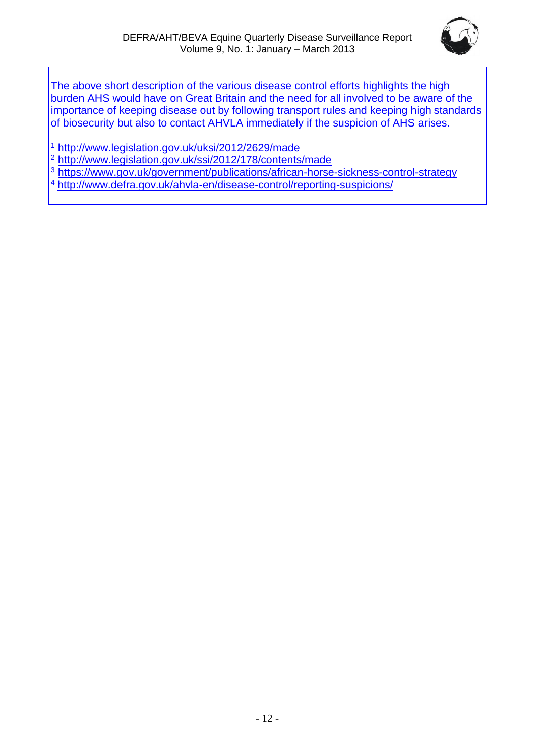

The above short description of the various disease control efforts highlights the high burden AHS would have on Great Britain and the need for all involved to be aware of the importance of keeping disease out by following transport rules and keeping high standards of biosecurity but also to contact AHVLA immediately if the suspicion of AHS arises.

<sup>1</sup> <http://www.legislation.gov.uk/uksi/2012/2629/made>

<sup>2</sup> <http://www.legislation.gov.uk/ssi/2012/178/contents/made>

<sup>3</sup> <https://www.gov.uk/government/publications/african-horse-sickness-control-strategy>

<sup>4</sup> <http://www.defra.gov.uk/ahvla-en/disease-control/reporting-suspicions/>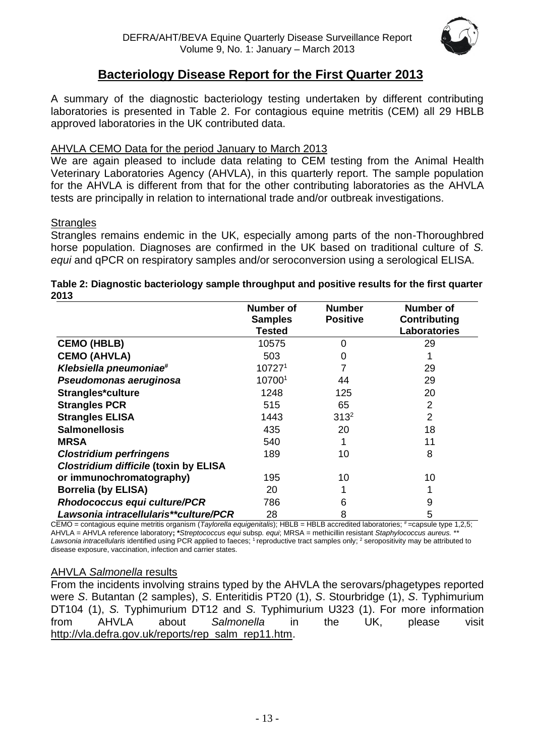

# **Bacteriology Disease Report for the First Quarter 2013**

A summary of the diagnostic bacteriology testing undertaken by different contributing laboratories is presented in Table 2. For contagious equine metritis (CEM) all 29 HBLB approved laboratories in the UK contributed data.

#### AHVLA CEMO Data for the period January to March 2013

We are again pleased to include data relating to CEM testing from the Animal Health Veterinary Laboratories Agency (AHVLA), in this quarterly report. The sample population for the AHVLA is different from that for the other contributing laboratories as the AHVLA tests are principally in relation to international trade and/or outbreak investigations.

#### **Strangles**

Strangles remains endemic in the UK, especially among parts of the non-Thoroughbred horse population. Diagnoses are confirmed in the UK based on traditional culture of *S. equi* and qPCR on respiratory samples and/or seroconversion using a serological ELISA.

#### **Table 2: Diagnostic bacteriology sample throughput and positive results for the first quarter 2013**

|                                              | <b>Number of</b> | <b>Number</b>   | <b>Number of</b>    |
|----------------------------------------------|------------------|-----------------|---------------------|
|                                              | <b>Samples</b>   | <b>Positive</b> | Contributing        |
|                                              | Tested           |                 | <b>Laboratories</b> |
| <b>CEMO (HBLB)</b>                           | 10575            | $\Omega$        | 29                  |
| <b>CEMO (AHVLA)</b>                          | 503              | 0               |                     |
| Klebsiella pneumoniae#                       | 107271           |                 | 29                  |
| Pseudomonas aeruginosa                       | 107001           | 44              | 29                  |
| Strangles*culture                            | 1248             | 125             | 20                  |
| <b>Strangles PCR</b>                         | 515              | 65              | $\overline{2}$      |
| <b>Strangles ELISA</b>                       | 1443             | $313^2$         | $\overline{2}$      |
| <b>Salmonellosis</b>                         | 435              | 20              | 18                  |
| <b>MRSA</b>                                  | 540              |                 | 11                  |
| <b>Clostridium perfringens</b>               | 189              | 10              | 8                   |
| <b>Clostridium difficile (toxin by ELISA</b> |                  |                 |                     |
| or immunochromatography)                     | 195              | 10              | 10                  |
| <b>Borrelia (by ELISA)</b>                   | 20               |                 |                     |
| <b>Rhodococcus equi culture/PCR</b>          | 786              | 6               | 9                   |
| Lawsonia intracellularis**culture/PCR        | 28               | 8               | 5                   |

CEMO = contagious equine metritis organism (*Taylorella equigenitalis*); HBLB = HBLB accredited laboratories; # = capsule type 1,2,5; AHVLA = AHVLA reference laboratory**; \****Streptococcus equi* subsp*. equi*; MRSA = methicillin resistant *Staphylococcus aureus.* \*\* Lawsonia intracellularis identified using PCR applied to faeces; <sup>1</sup> reproductive tract samples only; <sup>2</sup> seropositivity may be attributed to disease exposure, vaccination, infection and carrier states.

#### AHVLA *Salmonella* results

From the incidents involving strains typed by the AHVLA the serovars/phagetypes reported were *S*. Butantan (2 samples), *S*. Enteritidis PT20 (1), *S*. Stourbridge (1), *S*. Typhimurium DT104 (1), *S.* Typhimurium DT12 and *S.* Typhimurium U323 (1). For more information from AHVLA about *Salmonella* in the UK, please visit [http://vla.defra.gov.uk/reports/rep\\_salm\\_rep11.htm.](http://vla.defra.gov.uk/reports/rep_salm_rep11.htm)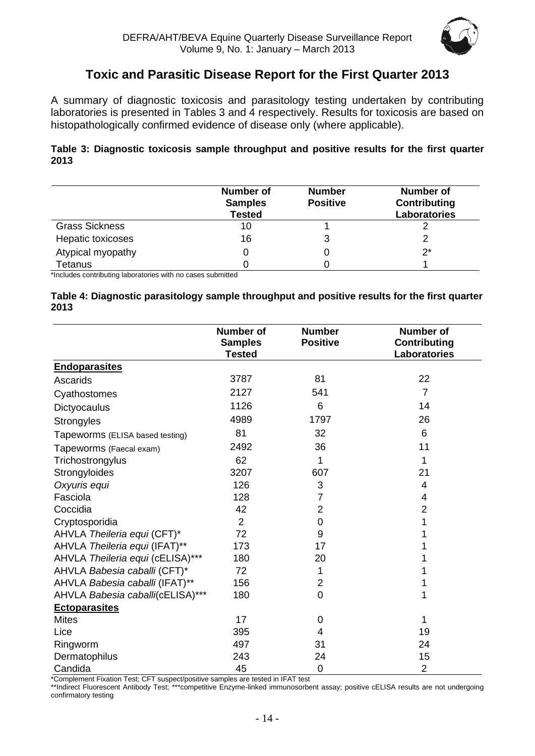

# **Toxic and Parasitic Disease Report for the First Quarter 2013**

<span id="page-13-0"></span>A summary of diagnostic toxicosis and parasitology testing undertaken by contributing laboratories is presented in Tables 3 and 4 respectively. Results for toxicosis are based on histopathologically confirmed evidence of disease only (where applicable).

#### **Table 3: Diagnostic toxicosis sample throughput and positive results for the first quarter 2013**

|                       | Number of<br><b>Samples</b><br><b>Tested</b> | <b>Number</b><br><b>Positive</b> | <b>Number of</b><br>Contributing<br>Laboratories |
|-----------------------|----------------------------------------------|----------------------------------|--------------------------------------------------|
| <b>Grass Sickness</b> | 10                                           |                                  |                                                  |
| Hepatic toxicoses     | 16                                           |                                  |                                                  |
| Atypical myopathy     |                                              |                                  | $2^*$                                            |
| Tetanus               |                                              |                                  |                                                  |

\*Includes contributing laboratories with no cases submitted

|      | Table 4: Diagnostic parasitology sample throughput and positive results for the first quarter |
|------|-----------------------------------------------------------------------------------------------|
| 2013 |                                                                                               |

|                                  | <b>Number of</b><br><b>Samples</b><br><b>Tested</b> | <b>Number</b><br><b>Positive</b> | <b>Number of</b><br><b>Contributing</b><br>Laboratories |
|----------------------------------|-----------------------------------------------------|----------------------------------|---------------------------------------------------------|
| <b>Endoparasites</b>             |                                                     |                                  |                                                         |
| Ascarids                         | 3787                                                | 81                               | 22                                                      |
| Cyathostomes                     | 2127                                                | 541                              | $\overline{7}$                                          |
| Dictyocaulus                     | 1126                                                | 6                                | 14                                                      |
| <b>Strongyles</b>                | 4989                                                | 1797                             | 26                                                      |
| Tapeworms (ELISA based testing)  | 81                                                  | 32                               | 6                                                       |
| Tapeworms (Faecal exam)          | 2492                                                | 36                               | 11                                                      |
| Trichostrongylus                 | 62                                                  | 1                                | 1                                                       |
| Strongyloides                    | 3207                                                | 607                              | 21                                                      |
| Oxyuris equi                     | 126                                                 | 3                                | 4                                                       |
| Fasciola                         | 128                                                 | 7                                | $\overline{4}$                                          |
| Coccidia                         | 42                                                  | $\overline{2}$                   | $\overline{2}$                                          |
| Cryptosporidia                   | $\overline{2}$                                      | 0                                | 1                                                       |
| AHVLA Theileria equi (CFT)*      | 72                                                  | 9                                |                                                         |
| AHVLA Theileria equi (IFAT)**    | 173                                                 | 17                               |                                                         |
| AHVLA Theileria equi (cELISA)*** | 180                                                 | 20                               |                                                         |
| AHVLA Babesia caballi (CFT)*     | 72                                                  | 1                                |                                                         |
| AHVLA Babesia caballi (IFAT)**   | 156                                                 | $\overline{2}$                   |                                                         |
| AHVLA Babesia caballi(cELISA)*** | 180                                                 | $\overline{0}$                   | 1                                                       |
| <b>Ectoparasites</b>             |                                                     |                                  |                                                         |
| <b>Mites</b>                     | 17                                                  | $\mathbf 0$                      | 1                                                       |
| Lice                             | 395                                                 | 4                                | 19                                                      |
| Ringworm                         | 497                                                 | 31                               | 24                                                      |
| Dermatophilus                    | 243                                                 | 24                               | 15                                                      |
| Candida                          | 45                                                  | $\mathbf 0$                      | $\overline{2}$                                          |

\*Complement Fixation Test; CFT suspect/positive samples are tested in IFAT test

\*\*Indirect Fluorescent Antibody Test; \*\*\*competitive Enzyme-linked immunosorbent assay; positive cELISA results are not undergoing confirmatory testing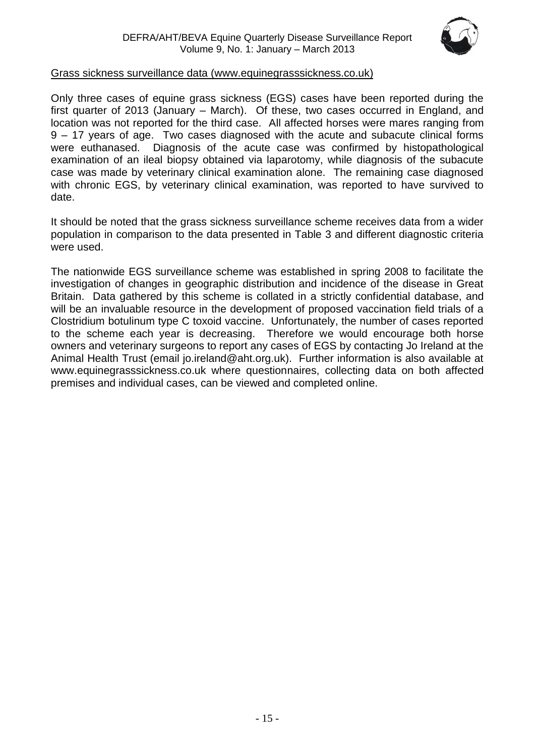

#### Grass sickness surveillance data [\(www.equinegrasssickness.co.uk\)](http://www.equinegrasssickness.co.uk/)

Only three cases of equine grass sickness (EGS) cases have been reported during the first quarter of 2013 (January – March). Of these, two cases occurred in England, and location was not reported for the third case. All affected horses were mares ranging from 9 – 17 years of age. Two cases diagnosed with the acute and subacute clinical forms were euthanased. Diagnosis of the acute case was confirmed by histopathological examination of an ileal biopsy obtained via laparotomy, while diagnosis of the subacute case was made by veterinary clinical examination alone. The remaining case diagnosed with chronic EGS, by veterinary clinical examination, was reported to have survived to date.

It should be noted that the grass sickness surveillance scheme receives data from a wider population in comparison to the data presented in Table 3 and different diagnostic criteria were used.

The nationwide EGS surveillance scheme was established in spring 2008 to facilitate the investigation of changes in geographic distribution and incidence of the disease in Great Britain. Data gathered by this scheme is collated in a strictly confidential database, and will be an invaluable resource in the development of proposed vaccination field trials of a Clostridium botulinum type C toxoid vaccine. Unfortunately, the number of cases reported to the scheme each year is decreasing. Therefore we would encourage both horse owners and veterinary surgeons to report any cases of EGS by contacting Jo Ireland at the Animal Health Trust (email jo.ireland@aht.org.uk). Further information is also available at www.equinegrasssickness.co.uk where questionnaires, collecting data on both affected premises and individual cases, can be viewed and completed online.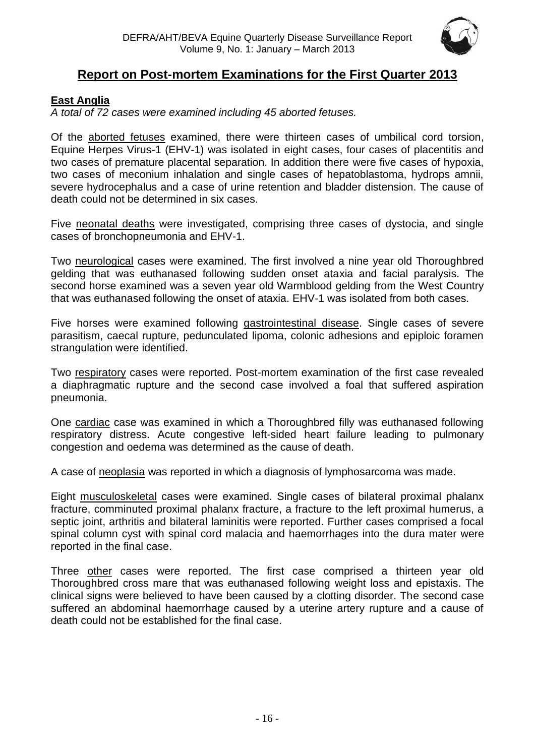

# **Report on Post-mortem Examinations for the First Quarter 2013**

# <span id="page-15-0"></span>**East Anglia**

*A total of 72 cases were examined including 45 aborted fetuses.*

Of the aborted fetuses examined, there were thirteen cases of umbilical cord torsion, Equine Herpes Virus-1 (EHV-1) was isolated in eight cases, four cases of placentitis and two cases of premature placental separation. In addition there were five cases of hypoxia, two cases of meconium inhalation and single cases of hepatoblastoma, hydrops amnii, severe hydrocephalus and a case of urine retention and bladder distension. The cause of death could not be determined in six cases.

Five neonatal deaths were investigated, comprising three cases of dystocia, and single cases of bronchopneumonia and EHV-1.

Two neurological cases were examined. The first involved a nine year old Thoroughbred gelding that was euthanased following sudden onset ataxia and facial paralysis. The second horse examined was a seven year old Warmblood gelding from the West Country that was euthanased following the onset of ataxia. EHV-1 was isolated from both cases.

Five horses were examined following gastrointestinal disease. Single cases of severe parasitism, caecal rupture, pedunculated lipoma, colonic adhesions and epiploic foramen strangulation were identified.

Two respiratory cases were reported. Post-mortem examination of the first case revealed a diaphragmatic rupture and the second case involved a foal that suffered aspiration pneumonia.

One cardiac case was examined in which a Thoroughbred filly was euthanased following respiratory distress. Acute congestive left-sided heart failure leading to pulmonary congestion and oedema was determined as the cause of death.

A case of neoplasia was reported in which a diagnosis of lymphosarcoma was made.

Eight musculoskeletal cases were examined. Single cases of bilateral proximal phalanx fracture, comminuted proximal phalanx fracture, a fracture to the left proximal humerus, a septic joint, arthritis and bilateral laminitis were reported. Further cases comprised a focal spinal column cyst with spinal cord malacia and haemorrhages into the dura mater were reported in the final case.

Three other cases were reported. The first case comprised a thirteen year old Thoroughbred cross mare that was euthanased following weight loss and epistaxis. The clinical signs were believed to have been caused by a clotting disorder. The second case suffered an abdominal haemorrhage caused by a uterine artery rupture and a cause of death could not be established for the final case.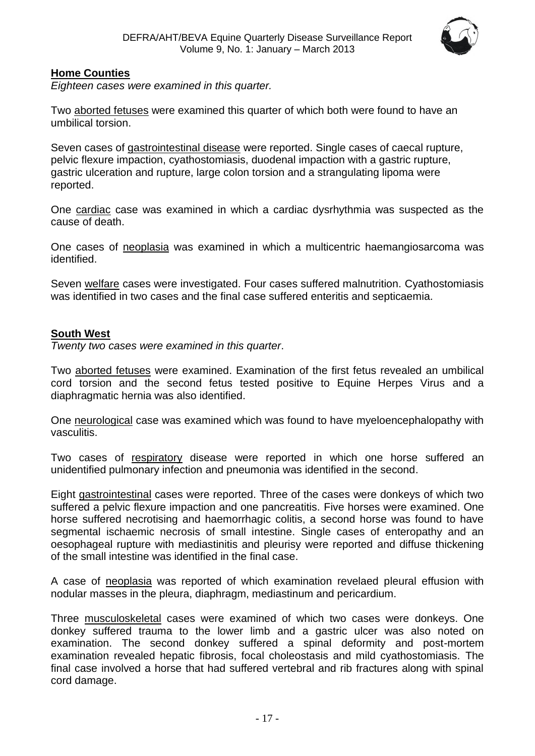

#### <span id="page-16-0"></span>**Home Counties**

*Eighteen cases were examined in this quarter.*

Two aborted fetuses were examined this quarter of which both were found to have an umbilical torsion.

Seven cases of gastrointestinal disease were reported. Single cases of caecal rupture, pelvic flexure impaction, cyathostomiasis, duodenal impaction with a gastric rupture, gastric ulceration and rupture, large colon torsion and a strangulating lipoma were reported.

One cardiac case was examined in which a cardiac dysrhythmia was suspected as the cause of death.

One cases of neoplasia was examined in which a multicentric haemangiosarcoma was identified.

Seven welfare cases were investigated. Four cases suffered malnutrition. Cyathostomiasis was identified in two cases and the final case suffered enteritis and septicaemia.

#### <span id="page-16-1"></span>**South West**

*Twenty two cases were examined in this quarter*.

Two aborted fetuses were examined. Examination of the first fetus revealed an umbilical cord torsion and the second fetus tested positive to Equine Herpes Virus and a diaphragmatic hernia was also identified.

One neurological case was examined which was found to have myeloencephalopathy with vasculitis.

Two cases of respiratory disease were reported in which one horse suffered an unidentified pulmonary infection and pneumonia was identified in the second.

Eight gastrointestinal cases were reported. Three of the cases were donkeys of which two suffered a pelvic flexure impaction and one pancreatitis. Five horses were examined. One horse suffered necrotising and haemorrhagic colitis, a second horse was found to have segmental ischaemic necrosis of small intestine. Single cases of enteropathy and an oesophageal rupture with mediastinitis and pleurisy were reported and diffuse thickening of the small intestine was identified in the final case.

A case of neoplasia was reported of which examination revelaed pleural effusion with nodular masses in the pleura, diaphragm, mediastinum and pericardium.

Three musculoskeletal cases were examined of which two cases were donkeys. One donkey suffered trauma to the lower limb and a gastric ulcer was also noted on examination. The second donkey suffered a spinal deformity and post-mortem examination revealed hepatic fibrosis, focal choleostasis and mild cyathostomiasis. The final case involved a horse that had suffered vertebral and rib fractures along with spinal cord damage.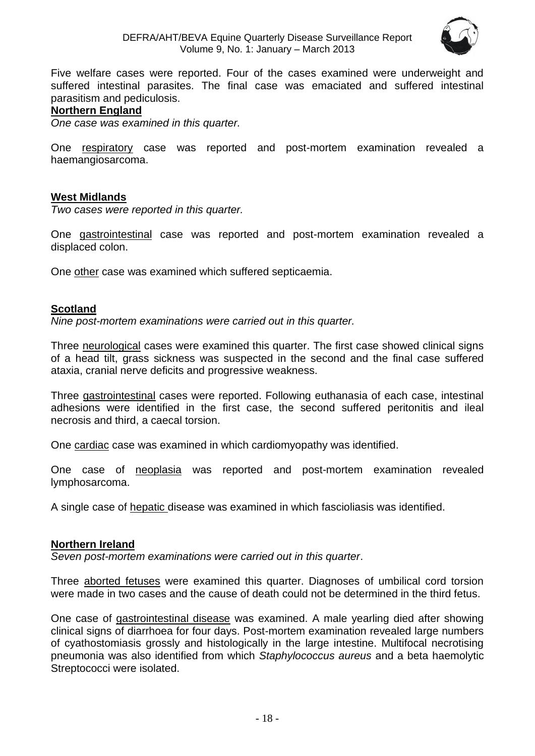

Five welfare cases were reported. Four of the cases examined were underweight and suffered intestinal parasites. The final case was emaciated and suffered intestinal parasitism and pediculosis.

#### <span id="page-17-0"></span>**Northern England**

*One case was examined in this quarter.*

One respiratory case was reported and post-mortem examination revealed a haemangiosarcoma.

#### **West Midlands**

*Two cases were reported in this quarter.*

One gastrointestinal case was reported and post-mortem examination revealed a displaced colon.

One other case was examined which suffered septicaemia.

#### <span id="page-17-1"></span>**Scotland**

*Nine post-mortem examinations were carried out in this quarter.*

Three neurological cases were examined this quarter. The first case showed clinical signs of a head tilt, grass sickness was suspected in the second and the final case suffered ataxia, cranial nerve deficits and progressive weakness.

Three gastrointestinal cases were reported. Following euthanasia of each case, intestinal adhesions were identified in the first case, the second suffered peritonitis and ileal necrosis and third, a caecal torsion.

One cardiac case was examined in which cardiomyopathy was identified.

One case of neoplasia was reported and post-mortem examination revealed lymphosarcoma.

A single case of hepatic disease was examined in which fascioliasis was identified.

#### <span id="page-17-2"></span>**Northern Ireland**

*Seven post-mortem examinations were carried out in this quarter*.

Three aborted fetuses were examined this quarter. Diagnoses of umbilical cord torsion were made in two cases and the cause of death could not be determined in the third fetus.

One case of gastrointestinal disease was examined. A male yearling died after showing clinical signs of diarrhoea for four days. Post-mortem examination revealed large numbers of cyathostomiasis grossly and histologically in the large intestine. Multifocal necrotising pneumonia was also identified from which *Staphylococcus aureus* and a beta haemolytic Streptococci were isolated.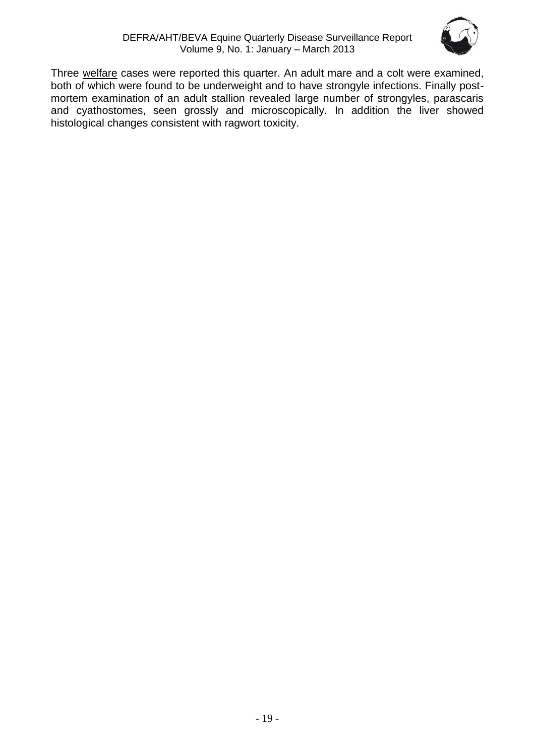

Three welfare cases were reported this quarter. An adult mare and a colt were examined, both of which were found to be underweight and to have strongyle infections. Finally postmortem examination of an adult stallion revealed large number of strongyles, parascaris and cyathostomes, seen grossly and microscopically. In addition the liver showed histological changes consistent with ragwort toxicity.